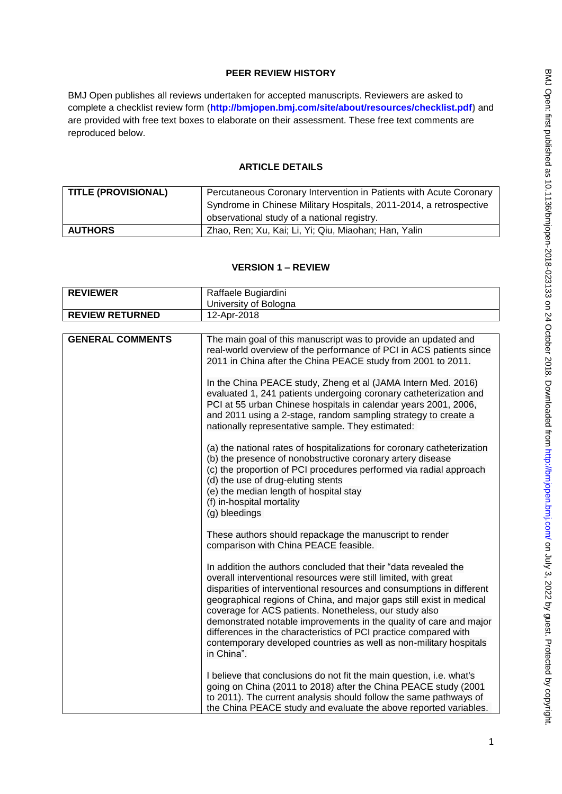# **PEER REVIEW HISTORY**

BMJ Open publishes all reviews undertaken for accepted manuscripts. Reviewers are asked to complete a checklist review form (**[http://bmjopen.bmj.com/site/about/resources/checklist.pdf\)](http://bmjopen.bmj.com/site/about/resources/checklist.pdf)** and are provided with free text boxes to elaborate on their assessment. These free text comments are reproduced below.

### **ARTICLE DETAILS**

| <b>TITLE (PROVISIONAL)</b> | Percutaneous Coronary Intervention in Patients with Acute Coronary |
|----------------------------|--------------------------------------------------------------------|
|                            | Syndrome in Chinese Military Hospitals, 2011-2014, a retrospective |
|                            | observational study of a national registry.                        |
| <b>AUTHORS</b>             | Zhao, Ren; Xu, Kai; Li, Yi; Qiu, Miaohan; Han, Yalin               |

### **VERSION 1 – REVIEW**

| <b>REVIEWER</b>         | Raffaele Bugiardini                                                                                                                                                                                                                                                                                                                                                                                                                                                                                                                                                         |
|-------------------------|-----------------------------------------------------------------------------------------------------------------------------------------------------------------------------------------------------------------------------------------------------------------------------------------------------------------------------------------------------------------------------------------------------------------------------------------------------------------------------------------------------------------------------------------------------------------------------|
|                         | University of Bologna                                                                                                                                                                                                                                                                                                                                                                                                                                                                                                                                                       |
| <b>REVIEW RETURNED</b>  | 12-Apr-2018                                                                                                                                                                                                                                                                                                                                                                                                                                                                                                                                                                 |
|                         |                                                                                                                                                                                                                                                                                                                                                                                                                                                                                                                                                                             |
| <b>GENERAL COMMENTS</b> | The main goal of this manuscript was to provide an updated and<br>real-world overview of the performance of PCI in ACS patients since<br>2011 in China after the China PEACE study from 2001 to 2011.<br>In the China PEACE study, Zheng et al (JAMA Intern Med. 2016)<br>evaluated 1, 241 patients undergoing coronary catheterization and<br>PCI at 55 urban Chinese hospitals in calendar years 2001, 2006,<br>and 2011 using a 2-stage, random sampling strategy to create a                                                                                            |
|                         | nationally representative sample. They estimated:<br>(a) the national rates of hospitalizations for coronary catheterization<br>(b) the presence of nonobstructive coronary artery disease<br>(c) the proportion of PCI procedures performed via radial approach<br>(d) the use of drug-eluting stents<br>(e) the median length of hospital stay<br>(f) in-hospital mortality<br>(g) bleedings                                                                                                                                                                              |
|                         | These authors should repackage the manuscript to render<br>comparison with China PEACE feasible.                                                                                                                                                                                                                                                                                                                                                                                                                                                                            |
|                         | In addition the authors concluded that their "data revealed the<br>overall interventional resources were still limited, with great<br>disparities of interventional resources and consumptions in different<br>geographical regions of China, and major gaps still exist in medical<br>coverage for ACS patients. Nonetheless, our study also<br>demonstrated notable improvements in the quality of care and major<br>differences in the characteristics of PCI practice compared with<br>contemporary developed countries as well as non-military hospitals<br>in China". |
|                         | I believe that conclusions do not fit the main question, i.e. what's<br>going on China (2011 to 2018) after the China PEACE study (2001<br>to 2011). The current analysis should follow the same pathways of<br>the China PEACE study and evaluate the above reported variables.                                                                                                                                                                                                                                                                                            |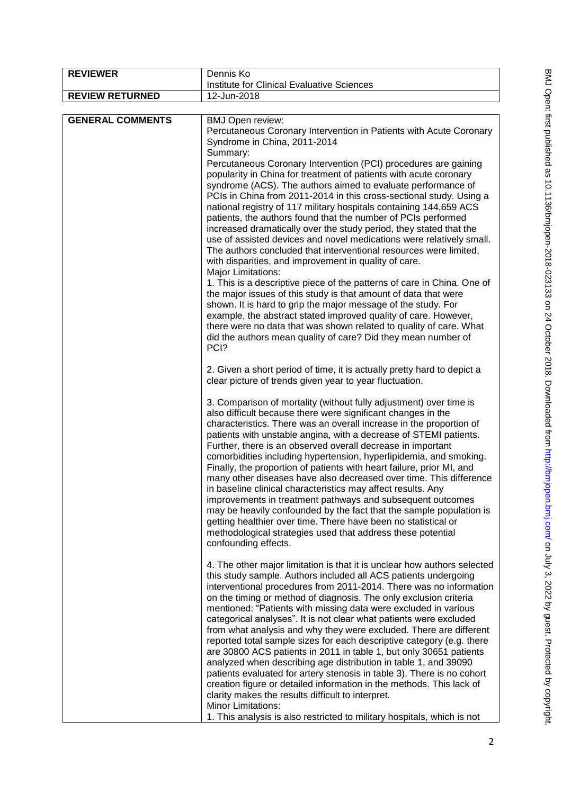| <b>REVIEWER</b>         | Dennis Ko                                                                                                                                                                                                                                                                                                                                                                                                                                                                                                                                                                                                                                                                                                                                                                                                                                                                                                                                                                                                                                                                                                                                                                                                                                                              |
|-------------------------|------------------------------------------------------------------------------------------------------------------------------------------------------------------------------------------------------------------------------------------------------------------------------------------------------------------------------------------------------------------------------------------------------------------------------------------------------------------------------------------------------------------------------------------------------------------------------------------------------------------------------------------------------------------------------------------------------------------------------------------------------------------------------------------------------------------------------------------------------------------------------------------------------------------------------------------------------------------------------------------------------------------------------------------------------------------------------------------------------------------------------------------------------------------------------------------------------------------------------------------------------------------------|
| <b>REVIEW RETURNED</b>  | Institute for Clinical Evaluative Sciences                                                                                                                                                                                                                                                                                                                                                                                                                                                                                                                                                                                                                                                                                                                                                                                                                                                                                                                                                                                                                                                                                                                                                                                                                             |
|                         | 12-Jun-2018                                                                                                                                                                                                                                                                                                                                                                                                                                                                                                                                                                                                                                                                                                                                                                                                                                                                                                                                                                                                                                                                                                                                                                                                                                                            |
| <b>GENERAL COMMENTS</b> | <b>BMJ Open review:</b><br>Percutaneous Coronary Intervention in Patients with Acute Coronary<br>Syndrome in China, 2011-2014<br>Summary:<br>Percutaneous Coronary Intervention (PCI) procedures are gaining<br>popularity in China for treatment of patients with acute coronary<br>syndrome (ACS). The authors aimed to evaluate performance of<br>PCIs in China from 2011-2014 in this cross-sectional study. Using a<br>national registry of 117 military hospitals containing 144,659 ACS<br>patients, the authors found that the number of PCIs performed<br>increased dramatically over the study period, they stated that the<br>use of assisted devices and novel medications were relatively small.<br>The authors concluded that interventional resources were limited,<br>with disparities, and improvement in quality of care.<br><b>Major Limitations:</b><br>1. This is a descriptive piece of the patterns of care in China. One of<br>the major issues of this study is that amount of data that were<br>shown. It is hard to grip the major message of the study. For                                                                                                                                                                                |
|                         | example, the abstract stated improved quality of care. However,<br>there were no data that was shown related to quality of care. What<br>did the authors mean quality of care? Did they mean number of<br>PCI?<br>2. Given a short period of time, it is actually pretty hard to depict a<br>clear picture of trends given year to year fluctuation.<br>3. Comparison of mortality (without fully adjustment) over time is<br>also difficult because there were significant changes in the<br>characteristics. There was an overall increase in the proportion of<br>patients with unstable angina, with a decrease of STEMI patients.<br>Further, there is an observed overall decrease in important<br>comorbidities including hypertension, hyperlipidemia, and smoking.<br>Finally, the proportion of patients with heart failure, prior MI, and<br>many other diseases have also decreased over time. This difference<br>in baseline clinical characteristics may affect results. Any<br>improvements in treatment pathways and subsequent outcomes                                                                                                                                                                                                               |
|                         | may be heavily confounded by the fact that the sample population is<br>getting healthier over time. There have been no statistical or<br>methodological strategies used that address these potential<br>confounding effects.<br>4. The other major limitation is that it is unclear how authors selected<br>this study sample. Authors included all ACS patients undergoing<br>interventional procedures from 2011-2014. There was no information<br>on the timing or method of diagnosis. The only exclusion criteria<br>mentioned: "Patients with missing data were excluded in various<br>categorical analyses". It is not clear what patients were excluded<br>from what analysis and why they were excluded. There are different<br>reported total sample sizes for each descriptive category (e.g. there<br>are 30800 ACS patients in 2011 in table 1, but only 30651 patients<br>analyzed when describing age distribution in table 1, and 39090<br>patients evaluated for artery stenosis in table 3). There is no cohort<br>creation figure or detailed information in the methods. This lack of<br>clarity makes the results difficult to interpret.<br><b>Minor Limitations:</b><br>1. This analysis is also restricted to military hospitals, which is not |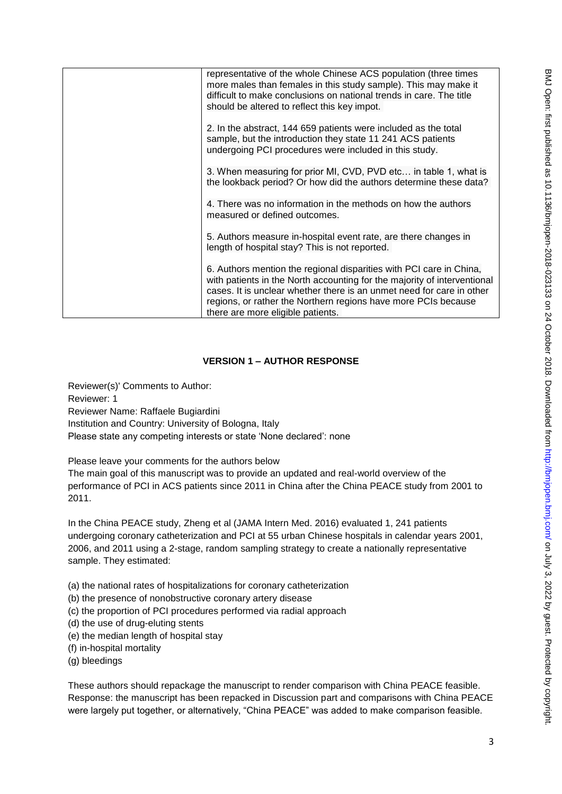| representative of the whole Chinese ACS population (three times<br>more males than females in this study sample). This may make it<br>difficult to make conclusions on national trends in care. The title<br>should be altered to reflect this key impot.                                                                       |
|---------------------------------------------------------------------------------------------------------------------------------------------------------------------------------------------------------------------------------------------------------------------------------------------------------------------------------|
| 2. In the abstract, 144 659 patients were included as the total<br>sample, but the introduction they state 11 241 ACS patients<br>undergoing PCI procedures were included in this study.                                                                                                                                        |
| 3. When measuring for prior MI, CVD, PVD etc in table 1, what is<br>the lookback period? Or how did the authors determine these data?                                                                                                                                                                                           |
| 4. There was no information in the methods on how the authors<br>measured or defined outcomes.                                                                                                                                                                                                                                  |
| 5. Authors measure in-hospital event rate, are there changes in<br>length of hospital stay? This is not reported.                                                                                                                                                                                                               |
| 6. Authors mention the regional disparities with PCI care in China,<br>with patients in the North accounting for the majority of interventional<br>cases. It is unclear whether there is an unmet need for care in other<br>regions, or rather the Northern regions have more PCIs because<br>there are more eligible patients. |

## **VERSION 1 – AUTHOR RESPONSE**

Reviewer(s)' Comments to Author: Reviewer: 1 Reviewer Name: Raffaele Bugiardini Institution and Country: University of Bologna, Italy Please state any competing interests or state 'None declared': none

Please leave your comments for the authors below

The main goal of this manuscript was to provide an updated and real-world overview of the performance of PCI in ACS patients since 2011 in China after the China PEACE study from 2001 to 2011.

In the China PEACE study, Zheng et al (JAMA Intern Med. 2016) evaluated 1, 241 patients undergoing coronary catheterization and PCI at 55 urban Chinese hospitals in calendar years 2001, 2006, and 2011 using a 2-stage, random sampling strategy to create a nationally representative sample. They estimated:

- (a) the national rates of hospitalizations for coronary catheterization
- (b) the presence of nonobstructive coronary artery disease
- (c) the proportion of PCI procedures performed via radial approach
- (d) the use of drug-eluting stents
- (e) the median length of hospital stay
- (f) in-hospital mortality
- (g) bleedings

These authors should repackage the manuscript to render comparison with China PEACE feasible. Response: the manuscript has been repacked in Discussion part and comparisons with China PEACE were largely put together, or alternatively, "China PEACE" was added to make comparison feasible.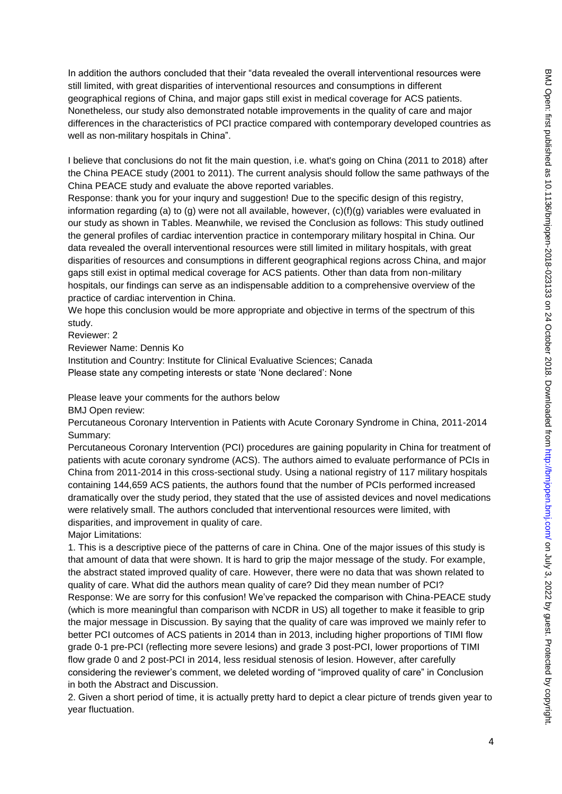In addition the authors concluded that their "data revealed the overall interventional resources were still limited, with great disparities of interventional resources and consumptions in different geographical regions of China, and major gaps still exist in medical coverage for ACS patients. Nonetheless, our study also demonstrated notable improvements in the quality of care and major differences in the characteristics of PCI practice compared with contemporary developed countries as well as non-military hospitals in China".

I believe that conclusions do not fit the main question, i.e. what's going on China (2011 to 2018) after the China PEACE study (2001 to 2011). The current analysis should follow the same pathways of the China PEACE study and evaluate the above reported variables.

Response: thank you for your inqury and suggestion! Due to the specific design of this registry, information regarding (a) to (g) were not all available, however,  $(c)(f)(g)$  variables were evaluated in our study as shown in Tables. Meanwhile, we revised the Conclusion as follows: This study outlined the general profiles of cardiac intervention practice in contemporary military hospital in China. Our data revealed the overall interventional resources were still limited in military hospitals, with great disparities of resources and consumptions in different geographical regions across China, and major gaps still exist in optimal medical coverage for ACS patients. Other than data from non-military hospitals, our findings can serve as an indispensable addition to a comprehensive overview of the practice of cardiac intervention in China.

We hope this conclusion would be more appropriate and objective in terms of the spectrum of this study.

Reviewer: 2

Reviewer Name: Dennis Ko

Institution and Country: Institute for Clinical Evaluative Sciences; Canada Please state any competing interests or state 'None declared': None

Please leave your comments for the authors below

BMJ Open review:

Percutaneous Coronary Intervention in Patients with Acute Coronary Syndrome in China, 2011-2014 Summary:

Percutaneous Coronary Intervention (PCI) procedures are gaining popularity in China for treatment of patients with acute coronary syndrome (ACS). The authors aimed to evaluate performance of PCIs in China from 2011-2014 in this cross-sectional study. Using a national registry of 117 military hospitals containing 144,659 ACS patients, the authors found that the number of PCIs performed increased dramatically over the study period, they stated that the use of assisted devices and novel medications were relatively small. The authors concluded that interventional resources were limited, with disparities, and improvement in quality of care.

Major Limitations:

1. This is a descriptive piece of the patterns of care in China. One of the major issues of this study is that amount of data that were shown. It is hard to grip the major message of the study. For example, the abstract stated improved quality of care. However, there were no data that was shown related to quality of care. What did the authors mean quality of care? Did they mean number of PCI? Response: We are sorry for this confusion! We've repacked the comparison with China-PEACE study (which is more meaningful than comparison with NCDR in US) all together to make it feasible to grip the major message in Discussion. By saying that the quality of care was improved we mainly refer to better PCI outcomes of ACS patients in 2014 than in 2013, including higher proportions of TIMI flow grade 0-1 pre-PCI (reflecting more severe lesions) and grade 3 post-PCI, lower proportions of TIMI flow grade 0 and 2 post-PCI in 2014, less residual stenosis of lesion. However, after carefully considering the reviewer's comment, we deleted wording of "improved quality of care" in Conclusion in both the Abstract and Discussion.

2. Given a short period of time, it is actually pretty hard to depict a clear picture of trends given year to year fluctuation.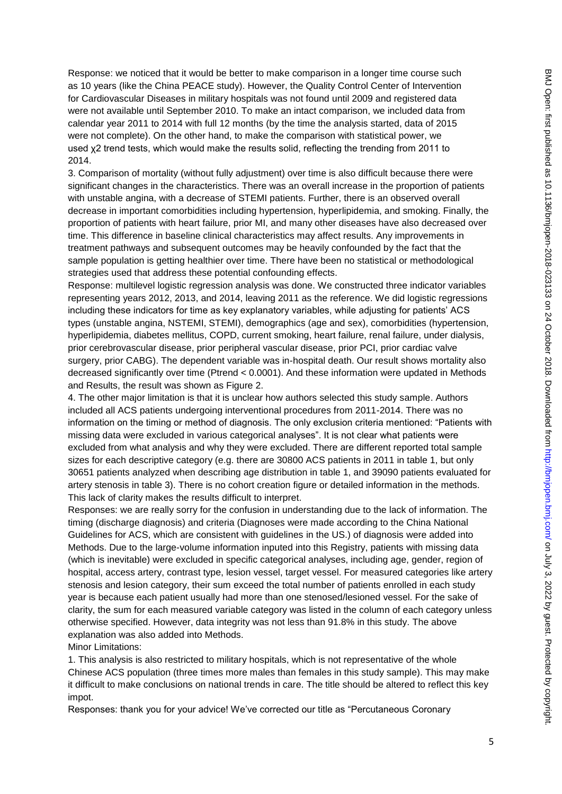Response: we noticed that it would be better to make comparison in a longer time course such as 10 years (like the China PEACE study). However, the Quality Control Center of Intervention for Cardiovascular Diseases in military hospitals was not found until 2009 and registered data were not available until September 2010. To make an intact comparison, we included data from calendar year 2011 to 2014 with full 12 months (by the time the analysis started, data of 2015 were not complete). On the other hand, to make the comparison with statistical power, we used χ2 trend tests, which would make the results solid, reflecting the trending from 2011 to 2014.

3. Comparison of mortality (without fully adjustment) over time is also difficult because there were significant changes in the characteristics. There was an overall increase in the proportion of patients with unstable angina, with a decrease of STEMI patients. Further, there is an observed overall decrease in important comorbidities including hypertension, hyperlipidemia, and smoking. Finally, the proportion of patients with heart failure, prior MI, and many other diseases have also decreased over time. This difference in baseline clinical characteristics may affect results. Any improvements in treatment pathways and subsequent outcomes may be heavily confounded by the fact that the sample population is getting healthier over time. There have been no statistical or methodological strategies used that address these potential confounding effects.

Response: multilevel logistic regression analysis was done. We constructed three indicator variables representing years 2012, 2013, and 2014, leaving 2011 as the reference. We did logistic regressions including these indicators for time as key explanatory variables, while adjusting for patients' ACS types (unstable angina, NSTEMI, STEMI), demographics (age and sex), comorbidities (hypertension, hyperlipidemia, diabetes mellitus, COPD, current smoking, heart failure, renal failure, under dialysis, prior cerebrovascular disease, prior peripheral vascular disease, prior PCI, prior cardiac valve surgery, prior CABG). The dependent variable was in-hospital death. Our result shows mortality also decreased significantly over time (Ptrend < 0.0001). And these information were updated in Methods and Results, the result was shown as Figure 2.

4. The other major limitation is that it is unclear how authors selected this study sample. Authors included all ACS patients undergoing interventional procedures from 2011-2014. There was no information on the timing or method of diagnosis. The only exclusion criteria mentioned: "Patients with missing data were excluded in various categorical analyses". It is not clear what patients were excluded from what analysis and why they were excluded. There are different reported total sample sizes for each descriptive category (e.g. there are 30800 ACS patients in 2011 in table 1, but only 30651 patients analyzed when describing age distribution in table 1, and 39090 patients evaluated for artery stenosis in table 3). There is no cohort creation figure or detailed information in the methods. This lack of clarity makes the results difficult to interpret.

Responses: we are really sorry for the confusion in understanding due to the lack of information. The timing (discharge diagnosis) and criteria (Diagnoses were made according to the China National Guidelines for ACS, which are consistent with guidelines in the US.) of diagnosis were added into Methods. Due to the large-volume information inputed into this Registry, patients with missing data (which is inevitable) were excluded in specific categorical analyses, including age, gender, region of hospital, access artery, contrast type, lesion vessel, target vessel. For measured categories like artery stenosis and lesion category, their sum exceed the total number of patients enrolled in each study year is because each patient usually had more than one stenosed/lesioned vessel. For the sake of clarity, the sum for each measured variable category was listed in the column of each category unless otherwise specified. However, data integrity was not less than 91.8% in this study. The above explanation was also added into Methods.

Minor Limitations:

1. This analysis is also restricted to military hospitals, which is not representative of the whole Chinese ACS population (three times more males than females in this study sample). This may make it difficult to make conclusions on national trends in care. The title should be altered to reflect this key impot.

Responses: thank you for your advice! We've corrected our title as "Percutaneous Coronary